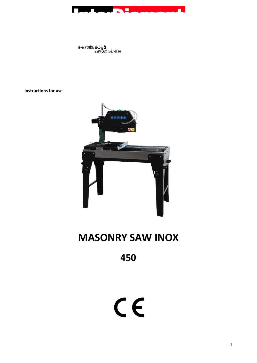**Instructions for use** 



# **MASONRY SAW INOX**

**450**

# CE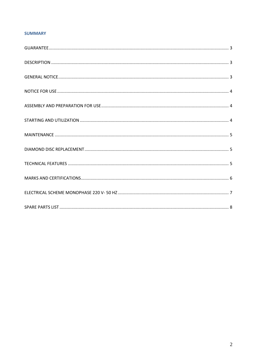# **SUMMARY**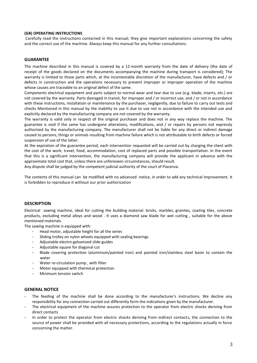#### **(GB) OPERATING INSTRUCTIONS**

Carefully read the instructions contained in this manual; they give important explanations concerning the safety and the correct use of the machine. Always keep this manual for any further consultations.

#### <span id="page-2-0"></span>**GUARANTEE**

The machine described in this manual is covered by a 12-month warranty from the date of delivery (the date of receipt of the goods declared on the documents accompanying the machine during transport is considered); The warranty is limited to those parts which, at the incontestable discretion of the manufacturer, have defects and / or defects in construction and the operations necessary to prevent improper or improper operation of the machine whose causes are traceable to an original defect of the same.

Components electrical equipment and parts subject to normal wear and tear due to use (e.g. blade, inserts, etc.) are not covered by the warranty. Parts damaged in transit, for improper and / or incorrect use, and / or not in accordance with these instructions, installation or maintenance by the purchaser, negligently, due to failure to carry out tests and checks Mentioned in this manual by the inability to use it due to use not in accordance with the intended use and explicitly declared by the manufacturing company are not covered by the warranty.

The warranty is valid only in respect of the original purchaser and does not in any way replace the machine. The guarantee is void if the same has undergone alterations, modifications, and / or repairs by persons not expressly authorized by the manufacturing company. The manufacturer shall not be liable for any direct or indirect damage caused to persons, things or animals resulting from machine failure which is not attributable to birth defects or forced suspension of use of the latter.

At the expiration of the guarantee period, each intervention requested will be carried out by charging the client with the cost of the work, travel, food, accommodation, cost of replaced parts and possible transportation. In the event that this is a significant intervention, the manufacturing company will provide the applicant in advance with the approximate total cost that, unless there are unforeseen circumstances, should result.

Any dispute shall be judged by the competent judicial authority of the court of Piacenza.

The contents of this manual can be modified with no advanced notice, in order to add any technical improvement. It is forbidden to reproduce it without our prior authorization

#### <span id="page-2-1"></span>**DESCRIPTION**

Electrical sawing machine, ideal for cutting the building material: bricks, marbles, granites, coating tiles, concrete products, excluding metal alloys and wood . It uses a diamond saw blade for wet cutting , suitable for the above mentioned materials.

The sawing machine is equipped with:

- Head motor, adjustable height for all the series
- Sliding trolley on nylon wheels equipped with sealing bearings
- Adjustable electro-galvanized slide guides
- Adjustable square for diagonal cut
- Blade covering protection (aluminium/painted iron) and painted iron/stainless steel basin to contain the water
- Water re-circulation pump , with filter
- Motor equipped with thermical protection
- Minimum tension switch

#### <span id="page-2-2"></span>**GENERAL NOTICE**

- The feeding of the machine shall be done according to the manufacturer's instructions. We decline any responsibility for any connection carried out differently form the indications given by the manufacturer.
- The electrical equipment of the machine assures protection to the operator from electric shocks deriving from direct contacts
- In order to protect the operator from electric shocks deriving from indirect contacts, the connection to the source of power shall be provided with all necessary protections, according to the regulations actually in force concerning the matter.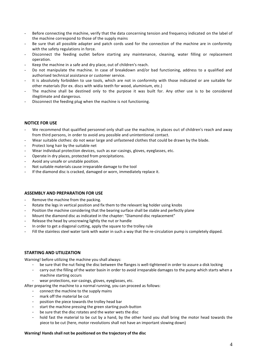- Before connecting the machine, verify that the data concerning tension and frequency indicated on the label of the machine correspond to those of the supply mains
- Be sure that all possible adapter and patch cords used for the connection of the machine are in conformity with the safety regulations in force.
- Disconnect the feeding outlet before starting any maintenance, cleaning, water filling or replacement operation.
- Keep the machine in a safe and dry place, out of children's reach.
- Do not manipulate the machine. In case of breakdown and/or bad functioning, address to a qualified and authorised technical assistance or customer service.
- It is absolutely forbidden to use tools, which are not in conformity with those indicated or are suitable for other materials (for ex. discs with widia teeth for wood, aluminium, etc.)
- The machine shall be destined only to the purpose it was built for. Any other use is to be considered illegitimate and dangerous.
- Disconnect the feeding plug when the machine is not functioning.

#### <span id="page-3-0"></span>**NOTICE FOR USE**

- We recommend that qualified personnel only shall use the machine, in places out of children's reach and away from third persons, in order to avoid any possible and unintentional contact.
- Wear suitable clothes: do not wear large and unfastened clothes that could be drawn by the blade.
- Protect long hair by the suitable net
- Wear individual protection devices, such as ear-casings, gloves, eyeglasses, etc.
- Operate in dry places, protected from precipitations.
- Avoid any unsafe or unstable position.
- Not suitable materials cause irreparable damage to the tool
- If the diamond disc is cracked, damaged or worn, immediately replace it.

#### <span id="page-3-1"></span>**ASSEMBLY AND PREPARATION FOR USE**

- Remove the machine from the packing.
- Rotate the legs in vertical position and fix them to the relevant leg holder using knobs
- Position the machine considering that the bearing surface shall be stable and perfectly plane
- Mount the diamond disc as indicated in the chapter: "Diamond disc replacement"
- Release the head by unscrewing lightly the nut or handle
- In order to get a diagonal cutting, apply the square to the trolley rule
- Fill the stainless steel water tank with water in such a way that the re-circulation pump is completely dipped.

#### <span id="page-3-2"></span>**STARTING AND UTILIZATION**

Warning! before utilizing the machine you shall always:

- be sure that the nut fixing the disc between the flanges is well-tightened in order to assure a disk locking
- carry out the filling of the water basin in order to avoid irreparable damages to the pump which starts when a machine starting occurs
- wear protections, ear-casings, gloves, eyeglasses, etc.
- After preparing the machine to a normal running, you can proceed as follows:
	- connect the machine to the supply mains
		- mark off the material be cut
		- position the piece towards the trolley head bar
		- start the machine pressing the green starting push-button
		- be sure that the disc rotates and the water wets the disc
		- hold fast the material to be cut by a hand, by the other hand you shall bring the motor head towards the piece to be cut (here, motor revolutions shall not have an important slowing down)

#### **Warning! Hands shall not be positioned on the trajectory of the disc**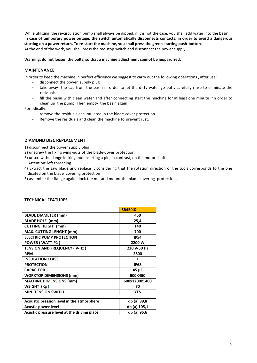While utilizing, the re-circulation pump shall always be dipped, if it is not the case, you shall add water into the basin. **In case of temporary power outage, the switch automatically disconnects contacts, in order to avoid a dangerous starting on a power return. To re-start the machine, you shall press the green starting push-button**. At the end of the work, you shall press the red stop switch and disconnect the power supply.

#### <span id="page-4-0"></span>**Warning: do not loosen the bolts, so that a machine adjustment cannot be jeopardized**.

#### **MAINTENANCE**

In order to keep the machine in perfect efficiency we suggest to carry out the following operations , after use:

- disconnect the power supply plug
- take away the cap from the basin in order to let the dirty water go out , carefully rinse to eliminate the residuals.
- fill the basin with clean water and after connecting start the machine for at least one minute inn order to clean up the pump. Then empty the basin again.

Periodically:

- remove the residuals accumulated in the blade-cover protection.
- Remove the residuals and clean the machine to prevent rust.

#### <span id="page-4-1"></span>**DIAMOND DISC REPLACEMENT**

1) disconnect the power supply plug.

- 2) unscrew the fixing wing-nuts of the blade-cover protection
- 3) unscrew the flange locking nut inserting a pin, in contrast, on the motor shaft Attention: left threading.

4) Extract the saw blade and replace it considering that the rotation direction of the tools corresponds to the one indicated on the blade covering protection

5) assemble the flange again , lock the nut and mount the blade covering protection.

|                                             | <b>SB450IX</b> |
|---------------------------------------------|----------------|
| <b>BLADE DIAMETER (mm)</b>                  | 450            |
| <b>BLADE HOLE (mm)</b>                      | 25,4           |
| <b>CUTTING HEIGHT (mm)</b>                  | 140            |
| <b>MAX. CUTTING LENGHT (mm)</b>             | 700            |
| <b>ELECTRIC PUMP PROTECTION</b>             | <b>IP54</b>    |
| POWER (WATT-P1)                             | 2200 W         |
| <b>TENSION AND FREQUENCY (V-Hz)</b>         | 220 V-50 Hz    |
| <b>RPM</b>                                  | 2800           |
| <b>INSULATION CLASS</b>                     | F              |
| <b>PROTECTION</b>                           | <b>IP68</b>    |
| <b>CAPACITOR</b>                            | 45 µF          |
| <b>WORKTOP DIMENSIONS (mm)</b>              | 500X450        |
| <b>MACHINE DIMENSIONS (mm)</b>              | 600x1200x1400  |
| WEIGHT (Kg)                                 | 70             |
| <b>MIN. TENSION SWITCH</b>                  | <b>YES</b>     |
|                                             |                |
| Acoustic pression level in the atmosphere   | db (a) 89,8    |
| <b>Acustic power level</b>                  | db (a) 105,1   |
| Acustic pressure level at the driving place | db (a) 95,6    |

#### <span id="page-4-2"></span>**TECHNICAL FEATURES**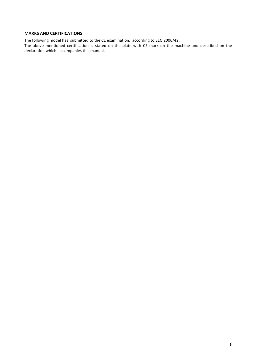### <span id="page-5-0"></span>**MARKS AND CERTIFICATIONS**

The following model has submitted to the CE examination, according to EEC 2006/42.

The above mentioned certification is stated on the plate with CE mark on the machine and described on the declaration which accompanies this manual.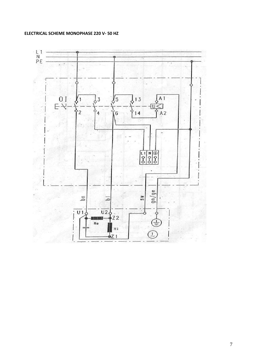# <span id="page-6-0"></span>ELECTRICAL SCHEME MONOPHASE 220 V- 50 HZ



 $\overline{7}$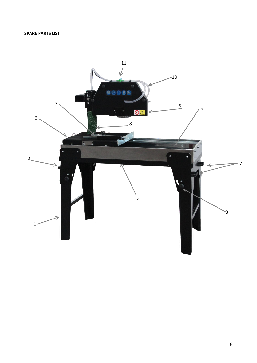# <span id="page-7-0"></span>**SPARE PARTS LIST**

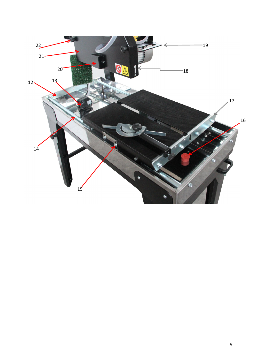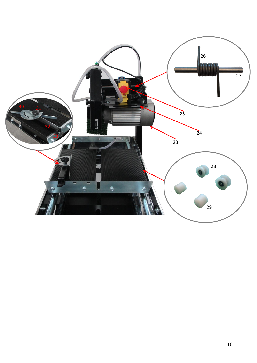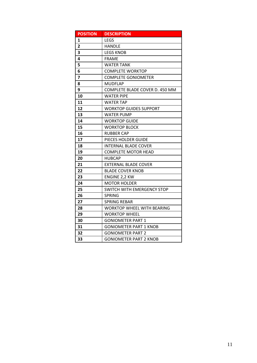| <b>POSITION</b>         | <b>DESCRIPTION</b>                |
|-------------------------|-----------------------------------|
| 1                       | <b>LEGS</b>                       |
| $\overline{2}$          | <b>HANDLE</b>                     |
| 3                       | <b>LEGS KNOB</b>                  |
| 4                       | <b>FRAME</b>                      |
| 5                       | <b>WATER TANK</b>                 |
| 6                       | <b>COMPLETE WORKTOP</b>           |
| $\overline{\mathbf{z}}$ | <b>COMPLETE GONIOMETER</b>        |
| 8                       | <b>MUDFLAP</b>                    |
| 9                       | COMPLETE BLADE COVER D. 450 MM    |
| 10                      | <b>WATER PIPE</b>                 |
| 11                      | <b>WATER TAP</b>                  |
| 12                      | <b>WORKTOP GUIDES SUPPORT</b>     |
| 13                      | <b>WATER PUMP</b>                 |
| 14                      | <b>WORKTOP GUIDE</b>              |
| 15                      | <b>WORKTOP BLOCK</b>              |
| 16                      | <b>RUBBER CAP</b>                 |
| 17                      | PIECES HOLDER GUIDE               |
| 18                      | <b>INTERNAL BLADE COVER</b>       |
| 19                      | <b>COMPLETE MOTOR HEAD</b>        |
| 20                      | <b>HUBCAP</b>                     |
| 21                      | <b>EXTERNAL BLADE COVER</b>       |
| 22                      | <b>BLADE COVER KNOB</b>           |
| 23                      | <b>ENGINE 2,2 KW</b>              |
| 24                      | <b>MOTOR HOLDER</b>               |
| 25                      | SWITCH WITH EMERGENCY STOP        |
| 26                      | <b>SPRING</b>                     |
| 27                      | <b>SPRING REBAR</b>               |
| 28                      | <b>WORKTOP WHEEL WITH BEARING</b> |
| 29                      | <b>WORKTOP WHEEL</b>              |
| 30                      | <b>GONIOMETER PART 1</b>          |
| 31                      | <b>GONIOMETER PART 1 KNOB</b>     |
| 32                      | <b>GONIOMETER PART 2</b>          |
| 33                      | <b>GONIOMETER PART 2 KNOB</b>     |